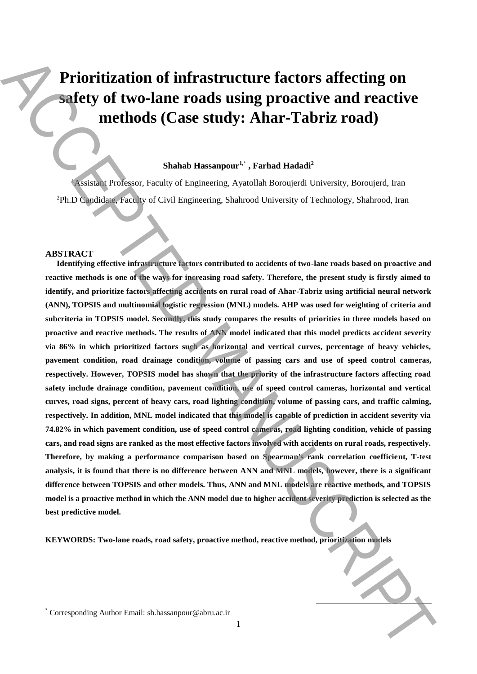# **Prioritization of infrastructure factors affecting on safety of two-lane roads using proactive and reactive methods (Case study: Ahar-Tabriz road)**

# **Shahab Hassanpour1,\* , Farhad Hadadi<sup>2</sup>**

<sup>1</sup>Assistant Professor, Faculty of Engineering, Ayatollah Boroujerdi University, Boroujerd, Iran Ph.D Candidate, Faculty of Civil Engineering, Shahrood University of Technology, Shahrood, Iran <sup>2</sup>

### **ABSTRACT**

**Identifying effective infrastructure factors contributed to accidents of two-lane roads based on proactive and reactive methods is one of the ways for increasing road safety. Therefore, the present study is firstly aimed to identify, and prioritize factors affecting accidents on rural road of Ahar-Tabriz using artificial neural network (ANN), TOPSIS and multinomial logistic regression (MNL) models. AHP was used for weighting of criteria and subcriteria in TOPSIS model. Secondly, this study compares the results of priorities in three models based on proactive and reactive methods. The results of ANN model indicated that this model predicts accident severity via 86% in which prioritized factors such as horizontal and vertical curves, percentage of heavy vehicles, pavement condition, road drainage condition, volume of passing cars and use of speed control cameras, respectively. However, TOPSIS model has shown that the priority of the infrastructure factors affecting road safety include drainage condition, pavement condition, use of speed control cameras, horizontal and vertical curves, road signs, percent of heavy cars, road lighting condition, volume of passing cars, and traffic calming, respectively. In addition, MNL model indicated that this model is capable of prediction in accident severity via 74.82% in which pavement condition, use of speed control cameras, road lighting condition, vehicle of passing cars, and road signs are ranked as the most effective factors involved with accidents on rural roads, respectively. Therefore, by making a performance comparison based on Spearman's rank correlation coefficient, T-test analysis, it is found that there is no difference between ANN and MNL models, however, there is a significant difference between TOPSIS and other models. Thus, ANN and MNL models are reactive methods, and TOPSIS model is a proactive method in which the ANN model due to higher accident severity prediction is selected as the best predictive model. Prioritization of infrastructure factors affecting on safety of two-lane roads using proactive and reactive methods (Case study: Ahar-Tabriz road)<br>
methods (Case study: Ahar-Tabriz road)<br>
shedule linearing Author Lineari** 

**KEYWORDS: Two-lane roads, road safety, proactive method, reactive method, prioritization models**

1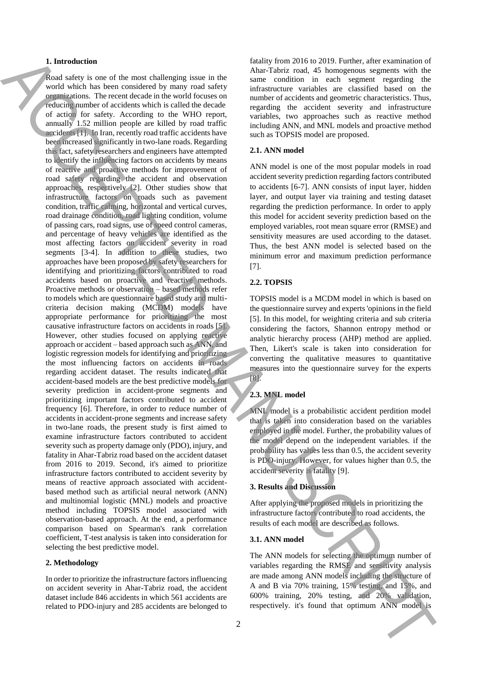## **1. Introduction**

Road safety is one of the most challenging issue in the world which has been considered by many road safety organizations. The recent decade in the world focuses on reducing number of accidents which is called the decade of action for safety. According to the WHO report, annually 1.52 million people are killed by road traffic accidents [1]. In Iran, recently road traffic accidents have been increased significantly in two-lane roads. Regarding this fact, safety researchers and engineers have attempted to identify the influencing factors on accidents by means of reactive and proactive methods for improvement of road safety regarding the accident and observation approaches, respectively [2]. Other studies show that infrastructure factors on roads such as pavement condition, traffic calming, horizontal and vertical curves, road drainage condition, road lighting condition, volume of passing cars, road signs, use of speed control cameras, and percentage of heavy vehicles are identified as the most affecting factors on accident severity in road segments [3-4]. In addition to these studies, two approaches have been proposed by safety researchers for identifying and prioritizing factors contributed to road accidents based on proactive and reactive methods. Proactive methods or observation – based methods refer to models which are questionnaire based study and multicriteria decision making (MCDM) models have appropriate performance for prioritizing the most causative infrastructure factors on accidents in roads [5]. However, other studies focused on applying reactive approach or accident – based approach such as ANN, and logistic regression models for identifying and prioritizing the most influencing factors on accidents in roads regarding accident dataset. The results indicated that accident-based models are the best predictive models for severity prediction in accident-prone segments and prioritizing important factors contributed to accident frequency [6]. Therefore, in order to reduce number of accidents in accident-prone segments and increase safety in two-lane roads, the present study is first aimed to examine infrastructure factors contributed to accident severity such as property damage only (PDO), injury, and fatality in Ahar-Tabriz road based on the accident dataset from 2016 to 2019. Second, it's aimed to prioritize infrastructure factors contributed to accident severity by means of reactive approach associated with accidentbased method such as artificial neural network (ANN) and multinomial logistic (MNL) models and proactive method including TOPSIS model associated with observation-based approach. At the end, a performance comparison based on Spearman's rank correlation coefficient, T-test analysis is taken into consideration for selecting the best predictive model. **1.** Interesting the most observation of the most of the most of the most of the most of the most of the most of the most of the most of the most of the most of the most of the most of the most of the most of the most of

### **2. Methodology**

In order to prioritize the infrastructure factors influencing on accident severity in Ahar-Tabriz road, the accident dataset include 846 accidents in which 561 accidents are related to PDO-injury and 285 accidents are belonged to

fatality from 2016 to 2019. Further, after examination of Ahar-Tabriz road, 45 homogenous segments with the same condition in each segment regarding the infrastructure variables are classified based on the number of accidents and geometric characteristics. Thus, regarding the accident severity and infrastructure variables, two approaches such as reactive method including ANN, and MNL models and proactive method such as TOPSIS model are proposed.

#### **2.1. ANN model**

ANN model is one of the most popular models in road accident severity prediction regarding factors contributed to accidents [6-7]. ANN consists of input layer, hidden layer, and output layer via training and testing dataset regarding the prediction performance. In order to apply this model for accident severity prediction based on the employed variables, root mean square error (RMSE) and sensitivity measures are used according to the dataset. Thus, the best ANN model is selected based on the minimum error and maximum prediction performance [7].

# **2.2. TOPSIS**

TOPSIS model is a MCDM model in which is based on the questionnaire survey and experts 'opinions in the field [5]. In this model, for weighting criteria and sub criteria considering the factors, Shannon entropy method or analytic hierarchy process (AHP) method are applied. Then, Likert's scale is taken into consideration for converting the qualitative measures to quantitative measures into the questionnaire survey for the experts [8].

# **2.3. MNL model**

MNL model is a probabilistic accident perdition model that is taken into consideration based on the variables employed in the model. Further, the probability values of the model depend on the independent variables. if the probability has values less than 0.5, the accident severity is PDO-injury. However, for values higher than 0.5, the accident severity is fatality [9].

## **3. Results and Discussion**

After applying the proposed models in prioritizing the infrastructure factors contributed to road accidents, the results of each model are described as follows.

# **3.1. ANN model**

The ANN models for selecting the optimum number of variables regarding the RMSE and sensitivity analysis are made among ANN models including the structure of A and B via 70% training, 15% testing, and 15%, and 600% training, 20% testing, and 20% validation,